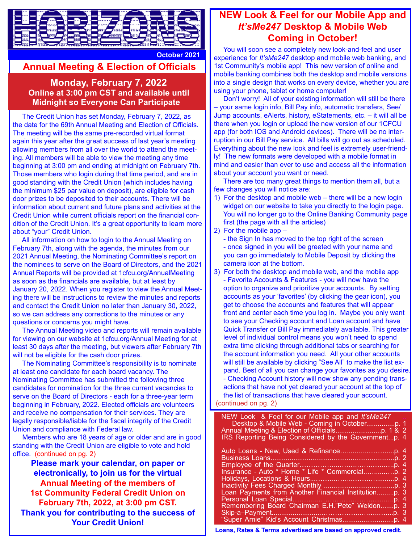

## **Annual Meeting & Election of Officials**

**Monday, February 7, 2022**<br>**Online at 3:00 pm CST and available until Midnight so Everyone Can Participate**

 The Credit Union has set Monday, February 7, 2022, as the date for the 69th Annual Meeting and Election of Officials. The meeting will be the same pre-recorded virtual format again this year after the great success of last year's meeting allowing members from all over the world to attend the meeting. All members will be able to view the meeting any time beginning at 3:00 pm and ending at midnight on February 7th. Those members who login during that time period, and are in good standing with the Credit Union (which includes having the minimum \$25 par value on deposit), are eligible for cash door prizes to be deposited to their accounts. There will be information about current and future plans and activities at the Credit Union while current officials report on the financial condition of the Credit Union. It's a great opportunity to learn more about "your" Credit Union.

 All information on how to login to the Annual Meeting on February 7th, along with the agenda, the minutes from our 2021 Annual Meeting, the Nominating Committee's report on the nominees to serve on the Board of Directors, and the 2021 Annual Reports will be provided at 1cfcu.org/AnnualMeeting as soon as the financials are available, but at least by January 20, 2022. When you register to view the Annual Meeting there will be instructions to review the minutes and reports and contact the Credit Union no later than January 30, 2022, so we can address any corrections to the minutes or any questions or concerns you might have.

 The Annual Meeting video and reports will remain available for viewing on our website at 1cfcu.org/Annual Meeting for at least 30 days after the meeting, but viewers after February 7th will not be eligible for the cash door prizes.

 The Nominating Committee's responsibility is to nominate at least one candidate for each board vacancy. The Nominating Committee has submitted the following three candidates for nomination for the three current vacancies to serve on the Board of Directors - each for a three-year term beginning in February, 2022. Elected officials are volunteers and receive no compensation for their services. They are legally responsible/liable for the fiscal integrity of the Credit Union and compliance with Federal law.

 Members who are 18 years of age or older and are in good standing with the Credit Union are eligible to vote and hold office. (continued on pg. 2)

**Please mark your calendar, on paper or electronically, to join us for the virtual Annual Meeting of the members of 1st Community Federal Credit Union on February 7th, 2022, at 3:00 pm CST. Thank you for contributing to the success of Your Credit Union!**

### **NEW Look & Feel for our Mobile App and**  *It'sMe247* **Desktop & Mobile Web Coming in October!**

**October 2021** You will soon see a completely new look-and-feel and user<br> **October 2021** experience for *It's Me247* decktop and mobile web banking and experience for *It'sMe247* desktop and mobile web banking, and 1st Community's mobile app! This new version of online and mobile banking combines both the desktop and mobile versions into a single design that works on every device, whether you are using your phone, tablet or home computer!

 Don't worry! All of your existing information will still be there – your same login info, Bill Pay info, automatic transfers, See/ Jump accounts, eAlerts, history, eStatements, etc. – it will all be there when you login or upload the new version of our 1CFCU app (for both IOS and Android devices). There will be no interruption in our Bill Pay service. All bills will go out as scheduled. Everything about the new look and feel is extremely user-friendly! The new formats were developed with a mobile format in mind and easier than ever to use and access all the information about your account you want or need.

 There are too many great things to mention them all, but a few changes you will notice are:

- 1) For the desktop and mobile web there will be a new login widget on our website to take you directly to the login page. You will no longer go to the Online Banking Community page first (the page with all the articles)
- 2) For the mobile app –

 - the Sign In has moved to the top right of the screen - once signed in you will be greeted with your name and you can go immediately to Mobile Deposit by clicking the camera icon at the bottom.

3) For both the desktop and mobile web, and the mobile app - Favorite Accounts & Features - you will now have the option to organize and prioritize your accounts. By setting accounts as your 'favorites' (by clicking the gear icon), you get to choose the accounts and features that will appear front and center each time you log in. Maybe you only want to see your Checking account and Loan account and have Quick Transfer or Bill Pay immediately available. This greater level of individual control means you won't need to spend extra time clicking through additional tabs or searching for the account information you need. All your other accounts will still be available by clicking "See All" to make the list ex pand. Best of all you can change your favorites as you desire. - Checking Account history will now show any pending trans actions that have not yet cleared your account at the top of the list of transactions that have cleared your account. (continued on pg. 2)

| NEW Look & Feel for our Mobile app and It'sMe247<br>IRS Reporting Being Considered by the Governmentp. 4 |
|----------------------------------------------------------------------------------------------------------|
| Remembering Board Chairman E.H."Pete" Weldonp. 3                                                         |

**Loans, Rates & Terms advertised are based on approved credit.**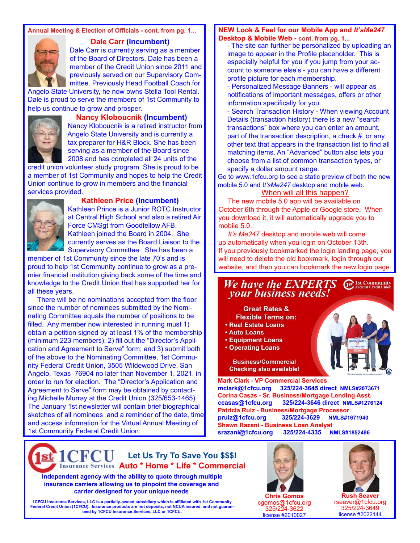### **Annual Meeting & Election of Officials - cont. from pg. 1...**



 **Dale Carr (Incumbent)** Dale Carr is currently serving as a member of the Board of Directors. Dale has been a member of the Credit Union since 2011 and previously served on our Supervisory Committee. Previously Head Football Coach for

Angelo State University, he now owns Stella Tool Rental. Dale is proud to serve the members of 1st Community to help us continue to grow and prosper.



 **Nancy Kloboucnik (Incumbent)** 

Nancy Kloboucnik is a retired instructor from Angelo State University and is currently a tax preparer for H&R Block. She has been serving as a member of the Board since 2008 and has completed all 24 units of the

credit union volunteer study program. She is proud to be a member of 1st Community and hopes to help the Credit Union continue to grow in members and the financial services provided.



#### **Kathleen Price (Incumbent)**

 Kathleen Prince is a Junior ROTC Instructor at Central High School and also a retired Air Force CMSgt from Goodfellow AFB. Kathleen joined the Board in 2004. She currently serves as the Board Liaison to the

 Supervisory Committee. She has been a member of 1st Community since the late 70's and is proud to help 1st Community continue to grow as a premier financial institution giving back some of the time and knowledge to the Credit Union that has supported her for all these years.

 There will be no nominations accepted from the floor since the number of nominees submitted by the Nominating Committee equals the number of positions to be filled. Any member now interested in running must 1) obtain a petition signed by at least 1% of the membership (minimum 223 members); 2) fill out the "Director's Application and Agreement to Serve" form; and 3) submit both of the above to the Nominating Committee, 1st Community Federal Credit Union, 3505 Wildewood Drive, San Angelo, Texas 76904 no later than November 1, 2021, in order to run for election. The "Director's Application and Agreement to Serve" form may be obtained by contacting Michelle Murray at the Credit Union (325/653-1465). The January 1st newsletter will contain brief biographical sketches of all nominees and a reminder of the date, time and access information for the Virtual Annual Meeting of 1st Community Federal Credit Union.

#### **NEW Look & Feel for our Mobile App and** *It'sMe247* **Desktop & Mobile Web - cont. from pg. 1...**

 - The site can further be personalized by uploading an image to appear in the Profile placeholder. This is especially helpful for you if you jump from your ac count to someone else's - you can have a different profile picture for each membership.

 - Personalized Message Banners - will appear as notifications of important messages, offers or other information specifically for you.

 - Search Transaction History - When viewing Account Details (transaction history) there is a new "search transactions" box where you can enter an amount, part of the transaction description, a check #, or any other text that appears in the transaction list to find all matching items. An "Advanced" button also lets you choose from a list of common transaction types, or specify a dollar amount range.

Go to www.1cfcu.org to see a static preview of both the new mobile 5.0 and I*t'sMe247* desktop and mobile web.

#### When will all this happen?

 The new mobile 5.0 app will be available on October 6th through the Apple or Google store. When you download it, it will automatically upgrade you to mobile 5.0.

 *It's Me247* desktop and mobile web will come up automatically when you login on October 13th. If you previously bookmarked the login landing page, you will need to delete the old bookmark, login through our website, and then you can bookmark the new login page.

### We have the EXPERTS<br>your business needs! **1st** 1st Community

**Great Rates & Flexible Terms on: . Real Estate Loans** 

**Auto Loans** 

l

- **Equipment Loans**
- **Operating Loans**

**Business/Commercial Checking also available!** 

**Mark Clark - VP Commercial Services mclark@1cfcu.org 325/224-3645 direct NMLS#2073671 Corina Casas - Sr. Business/Mortgage Lending Asst. ccasas@1cfcu.org 325/224-3646 direct NMLS#1276124 Patricia Ruiz - Business/Mortgage Processor pruiz@1cfcu.org 325/224-3629 NMLS#1671940 Shawn Razani - Business Loan Analyst srazani@1cfcu.org 325/224-4335 NMLS#1852486**

 $st1CFCU$ **Let Us Try To Save You \$\$\$! Insurance Services** Auto \* Home \* Life \* Commercial

 **Independent agency with the ability to quote through multiple insurance carriers allowing us to pinpoint the coverage and carrier designed for your unique needs**

**1CFCU Insurance Services, LLC is a partially-owned subsidiary which is affiliated with 1st Community Federal Credit Union (1CFCU). Insurance products are not deposits, not NCUA insured, and not guaranteed by 1CFCU Insurance Services, LLC or 1CFCU.**



**Chris Gomos** cgomos@1cfcu.org 325/224-3622 license #2010027



**Rush Seaver** rseaver@1cfcu.org 325/224-3649 license #2022144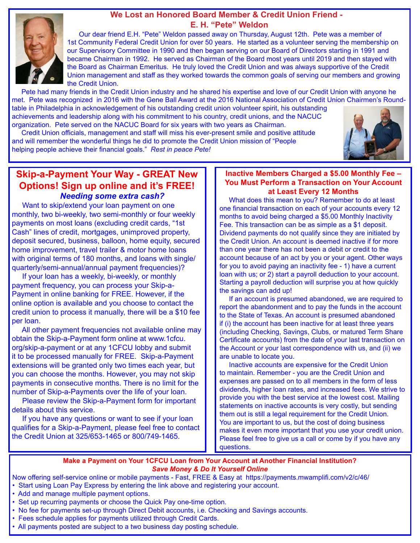### **We Lost an Honored Board Member & Credit Union Friend - E. H. "Pete" Weldon**



Our dear friend E.H. "Pete" Weldon passed away on Thursday, August 12th. Pete was a member of 1st Community Federal Credit Union for over 50 years. He started as a volunteer serving the membership on our Supervisory Committee in 1990 and then began serving on our Board of Directors starting in 1991 and became Chairman in 1992. He served as Chairman of the Board most years until 2019 and then stayed with the Board as Chairman Emeritus. He truly loved the Credit Union and was always supportive of the Credit Union management and staff as they worked towards the common goals of serving our members and growing the Credit Union.

 Pete had many friends in the Credit Union industry and he shared his expertise and love of our Credit Union with anyone he met. Pete was recognized in 2016 with the Gene Ball Award at the 2016 National Association of Credit Union Chairmen's Roundtable in Philadelphia in acknowledgement of his outstanding credit union volunteer spirit, his outstanding achievements and leadership along with his commitment to his country, credit unions, and the NACUC organization. Pete served on the NACUC Board for six years with two years as Chairman.

 Credit Union officials, management and staff will miss his ever-present smile and positive attitude and will remember the wonderful things he did to promote the Credit Union mission of "People helping people achieve their financial goals." *Rest in peace Pete!* 



### **Skip-a-Payment Your Way - GREAT New Options! Sign up online and it's FREE!**  *Needing some extra cash?*

Want to skip/extend your loan payment on one monthly, two bi-weekly, two semi-monthly or four weekly payments on most loans (excluding credit cards, "1st Cash" lines of credit, mortgages, unimproved property, deposit secured, business, balloon, home equity, secured home improvement, travel trailer & motor home loans with original terms of 180 months, and loans with single/ quarterly/semi-annual/annual payment frequencies)?

 If your loan has a weekly, bi-weekly, or monthly payment frequency, you can process your Skip-a-Payment in online banking for FREE. However, if the online option is available and you choose to contact the credit union to process it manually, there will be a \$10 fee per loan.

 All other payment frequencies not available online may obtain the Skip-a-Payment form online at www.1cfcu. org/skip-a-payment or at any 1CFCU lobby and submit it to be processed manually for FREE. Skip-a-Payment extensions will be granted only two times each year, but you can choose the months. However, you may not skip payments in consecutive months. There is no limit for the number of Skip-a-Payments over the life of your loan.

 Please review the Skip-a-Payment form for important details about this service.

 If you have any questions or want to see if your loan qualifies for a Skip-a-Payment, please feel free to contact the Credit Union at 325/653-1465 or 800/749-1465.

### **Inactive Members Charged a \$5.00 Monthly Fee – You Must Perform a Transaction on Your Account at Least Every 12 Months**

 What does this mean to you? Remember to do at least one financial transaction on each of your accounts every 12 months to avoid being charged a \$5.00 Monthly Inactivity Fee. This transaction can be as simple as a \$1 deposit. Dividend payments do not qualify since they are initiated by the Credit Union. An account is deemed inactive if for more than one year there has not been a debit or credit to the account because of an act by you or your agent. Other ways for you to avoid paying an inactivity fee - 1) have a current loan with us; or 2) start a payroll deduction to your account. Starting a payroll deduction will surprise you at how quickly the savings can add up!

 If an account is presumed abandoned, we are required to report the abandonment and to pay the funds in the account to the State of Texas. An account is presumed abandoned if (i) the account has been inactive for at least three years (including Checking, Savings, Clubs, or matured Term Share Certificate accounts) from the date of your last transaction on the Account or your last correspondence with us, and (ii) we are unable to locate you.

 Inactive accounts are expensive for the Credit Union to maintain. Remember - you are the Credit Union and expenses are passed on to all members in the form of less dividends, higher loan rates, and increased fees. We strive to provide you with the best service at the lowest cost. Mailing statements on inactive accounts is very costly, but sending them out is still a legal requirement for the Credit Union. You are important to us, but the cost of doing business makes it even more important that you use your credit union. Please feel free to give us a call or come by if you have any questions.

#### **Make a Payment on Your 1CFCU Loan from Your Account at Another Financial Institution?** *Save Money & Do It Yourself Online*

Now offering self-service online or mobile payments - Fast, FREE & Easy at https://payments.mwamplifi.com/v2/c/46/

- Start using Loan Pay Express by entering the link above and registering your account.
- Add and manage multiple payment options.
- Set up recurring payments or choose the Quick Pay one-time option.
- No fee for payments set-up through Direct Debit accounts, i.e. Checking and Savings accounts.
- Fees schedule applies for payments utilized through Credit Cards.
- All payments posted are subject to a two business day posting schedule.